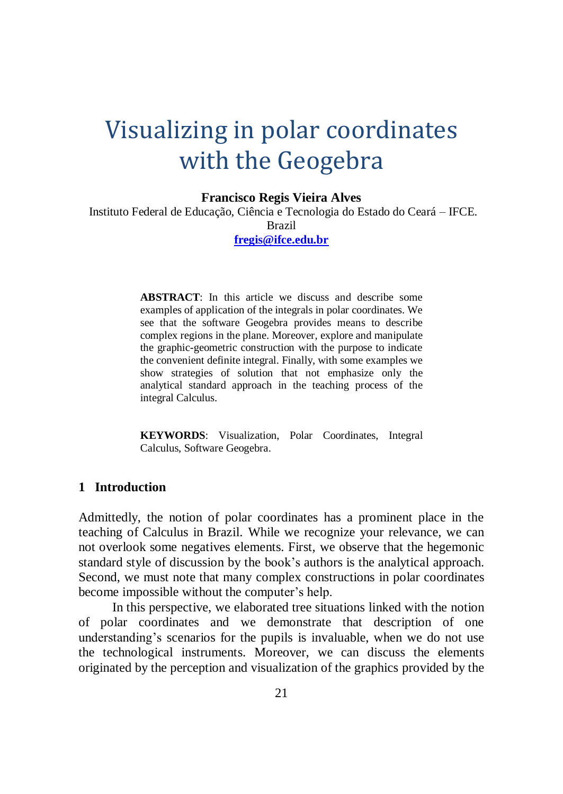# Visualizing in polar coordinates with the Geogebra

### **Francisco Regis Vieira Alves**

Instituto Federal de Educação, Ciência e Tecnologia do Estado do Ceará – IFCE. Brazil

## **[fregis@ifce.edu.br](mailto:fregis@ifce.edu.br)**

**ABSTRACT**: In this article we discuss and describe some examples of application of the integrals in polar coordinates. We see that the software Geogebra provides means to describe complex regions in the plane. Moreover, explore and manipulate the graphic-geometric construction with the purpose to indicate the convenient definite integral. Finally, with some examples we show strategies of solution that not emphasize only the analytical standard approach in the teaching process of the integral Calculus.

**KEYWORDS**: Visualization, Polar Coordinates, Integral Calculus, Software Geogebra.

## **1 Introduction**

Admittedly, the notion of polar coordinates has a prominent place in the teaching of Calculus in Brazil. While we recognize your relevance, we can not overlook some negatives elements. First, we observe that the hegemonic standard style of discussion by the book's authors is the analytical approach. Second, we must note that many complex constructions in polar coordinates become impossible without the computer's help.

In this perspective, we elaborated tree situations linked with the notion of polar coordinates and we demonstrate that description of one understanding's scenarios for the pupils is invaluable, when we do not use the technological instruments. Moreover, we can discuss the elements originated by the perception and visualization of the graphics provided by the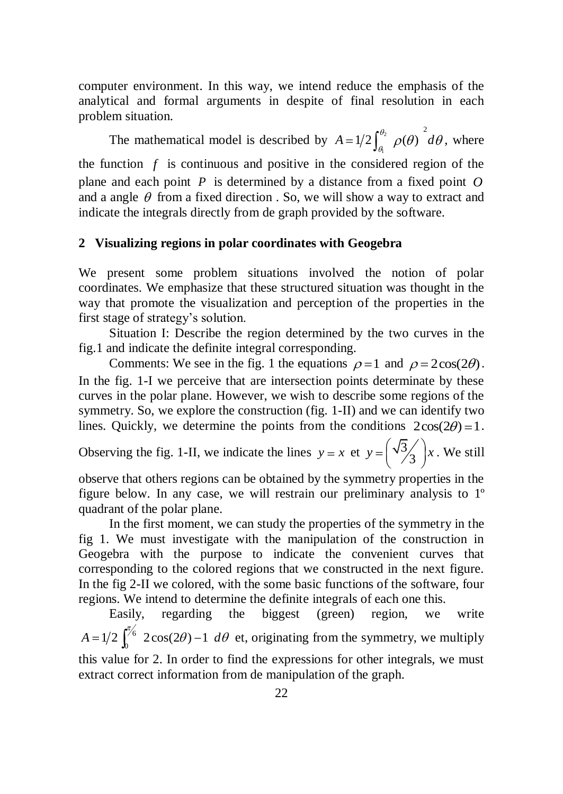computer environment. In this way, we intend reduce the emphasis of the analytical and formal arguments in despite of final resolution in each problem situation.

The mathematical model is described by  $A = 1/2 \int_{0}^{b_2} \rho(\theta) d\theta$  $\frac{1}{1}$  $\partial^2 d\theta$ , where reduce the emphasis of the<br>of final resolution in each<br> $A = 1/2 \int_{\theta_1}^{\theta_2} \rho(\theta) \frac{d\theta}{d\theta}$ , where<br>the considered region of the<br>tance from a fixed point *O*<br>Il show a way to extract and<br>ided by the software. the function  $f$  is continuous and positive in the considered region of the plane and each point *P* is determined by a distance from a fixed point *O* and a angle  $\theta$  from a fixed direction . So, we will show a way to extract and indicate the integrals directly from de graph provided by the software.

#### **2 Visualizing regions in polar coordinates with Geogebra**

We present some problem situations involved the notion of polar coordinates. We emphasize that these structured situation was thought in the way that promote the visualization and perception of the properties in the first stage of strategy's solution.

Situation I: Describe the region determined by the two curves in the fig.1 and indicate the definite integral corresponding.

Comments: We see in the fig. 1 the equations  $\rho = 1$  and  $\rho = 2\cos(2\theta)$ . In the fig. 1-I we perceive that are intersection points determinate by these curves in the polar plane. However, we wish to describe some regions of the symmetry. So, we explore the construction (fig. 1-II) and we can identify two lines. Quickly, we determine the points from the conditions  $2\cos(2\theta) = 1$ .

Observing the fig. 1-II, we indicate the lines  $y = x$  et  $y = \begin{pmatrix} \sqrt{3} \\ 2 \end{pmatrix}$  $y = \left(\frac{\sqrt{3}}{3}\right) x$ . We still

observe that others regions can be obtained by the symmetry properties in the figure below. In any case, we will restrain our preliminary analysis to 1º quadrant of the polar plane.

In the first moment, we can study the properties of the symmetry in the fig 1. We must investigate with the manipulation of the construction in Geogebra with the purpose to indicate the convenient curves that corresponding to the colored regions that we constructed in the next figure. In the fig 2-II we colored, with the some basic functions of the software, four regions. We intend to determine the definite integrals of each one this.

Easily, regarding the biggest (green) region, we write 6  $A = 1/2 \int_0^{\frac{\pi}{6}} 2\cos(2\theta) - 1 \, d\theta$  et, originating from the symmetry, we multiply this value for 2. In order to find the expressions for other integrals, we must extract correct information from de manipulation of the graph.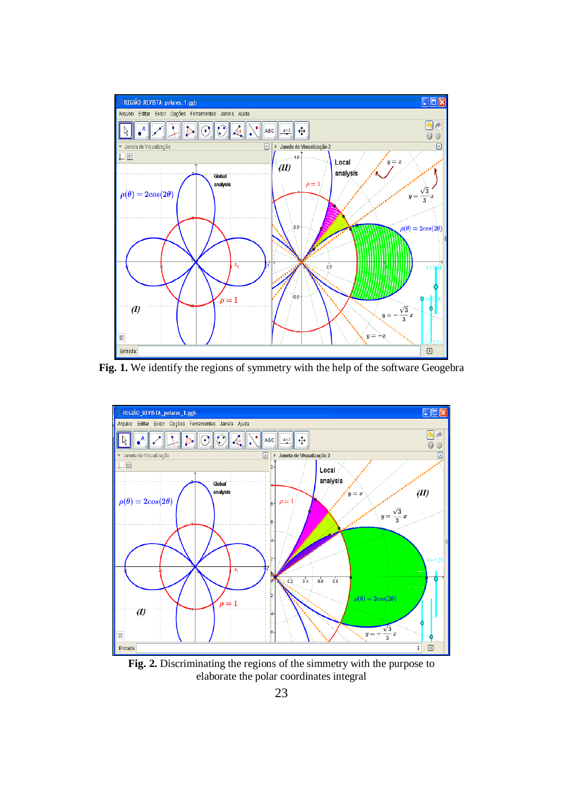

**Fig. 1.** We identify the regions of symmetry with the help of the software Geogebra



**Fig. 2.** Discriminating the regions of the simmetry with the purpose to elaborate the polar coordinates integral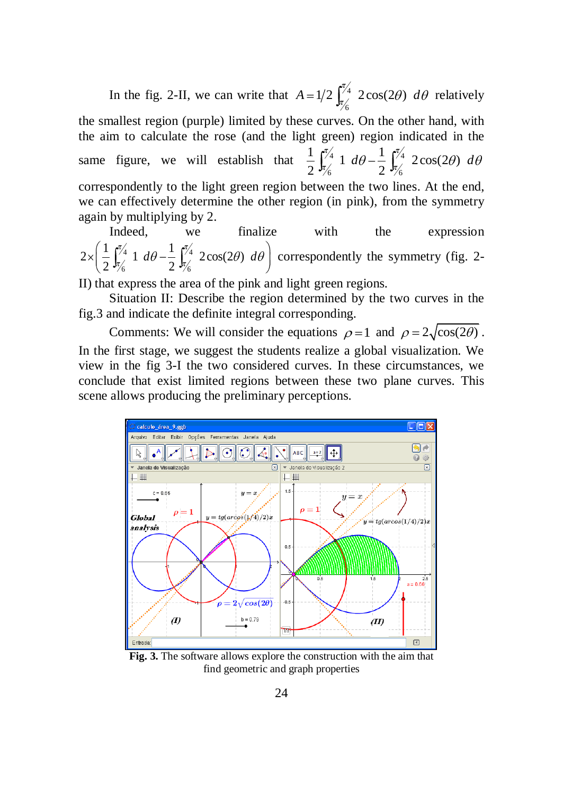In the fig. 2-II, we can write that  $A = 1/2 \int_{1}^{7/4}$  $A = 1/2 \int_{\pi/6}^{\pi/4} 2\cos(2\theta) d\theta$  relatively the smallest region (purple) limited by these curves. On the other hand, with the aim to calculate the rose (and the light green) region indicated in the same figure, we will establish that  $\frac{1}{2} \int_{\alpha}^{\alpha/4} 1 d\theta - \frac{1}{2} \int_{\alpha}^{\alpha/4}$ ht green) region indicated in<br>  $\frac{1}{2} \int_{\frac{\pi}{6}}^{\frac{\pi}{4}} 1 d\theta - \frac{1}{2} \int_{\frac{\pi}{6}}^{\frac{\pi}{4}} 2\cos(2\theta)$  $\frac{1}{2} \int_{\frac{\pi}{6}}^{\frac{\pi}{4}} 1 \ d\theta - \frac{1}{2}$  $d\theta - \frac{1}{2} \int_{\pi/2}^{\pi/4} 2\cos(2\theta) d\theta$ correspondently to the light green region between the two lines. At the end, we can effectively determine the other region (in pink), from the symmetry again by multiplying by 2.

Indeed, we finalize with the expression  $\int_{4}^{4} 1 d\theta - \frac{1}{2} \int_{4}^{\pi/4}$ Indeed, we fit<br>  $2 \times \left( \frac{1}{2} \int_{\frac{\pi}{4}}^{\frac{\pi}{4}} 1 \ d\theta - \frac{1}{2} \int_{\frac{\pi}{4}}^{\frac{\pi}{4}} 2 \cos(2\theta) \right)$  $\frac{1}{2} \int_{\frac{\pi}{6}}^{\frac{\pi}{4}} 1 \ d\theta - \frac{1}{2}$  $d\theta - \frac{1}{2} \int_{\pi/2}^{\pi/4} 2\cos(2\theta) \ d\theta$  correspondently the symmetry (fig. 2-

II) that express the area of the pink and light green regions.

Situation II: Describe the region determined by the two curves in the fig.3 and indicate the definite integral corresponding.

Comments: We will consider the equations  $\rho = 1$  and  $\rho = 2\sqrt{\cos(2\theta)}$ . In the first stage, we suggest the students realize a global visualization. We view in the fig 3-I the two considered curves. In these circumstances, we conclude that exist limited regions between these two plane curves. This scene allows producing the preliminary perceptions.



**Fig. 3.** The software allows explore the construction with the aim that find geometric and graph properties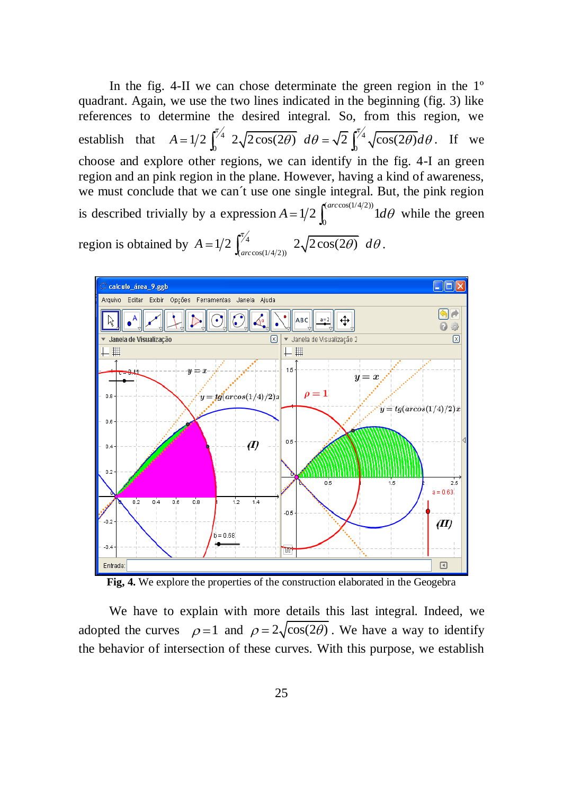In the fig. 4-II we can chose determinate the green region in the 1º quadrant. Again, we use the two lines indicated in the beginning (fig. 3) like references to determine the desired integral. So, from this region, we establish that  $A = 1/2 \int_{0}^{\pi/4} 2\sqrt{2\cos(2\theta)} d\theta = \sqrt{2} \int_{0}^{\pi/4}$ termine the desired integral. So, from this region, we<br>  $A = 1/2 \int_0^{\pi/4} 2\sqrt{2\cos(2\theta)} d\theta = \sqrt{2} \int_0^{\pi/4} \sqrt{\cos(2\theta)} d\theta$ . If we choose and explore other regions, we can identify in the fig. 4-I an green region and an pink region in the plane. However, having a kind of awareness, we must conclude that we can´t use one single integral. But, the pink region is described trivially by a expression  $(arccos(1/4/2))$  $A = 1/2 \int_0^{arccos(1/4/2)} 1 d\theta$  while the green region is obtained by  $A = 1/2 \int_{\arccos(1/4/2)}^{\pi/4} 2\sqrt{2\cos(2\theta)} d\theta$ .



Fig, 4. We explore the properties of the construction elaborated in the Geogebra

We have to explain with more details this last integral. Indeed, we adopted the curves  $\rho = 1$  and  $\rho = 2\sqrt{\cos(2\theta)}$ . We have a way to identify the behavior of intersection of these curves. With this purpose, we establish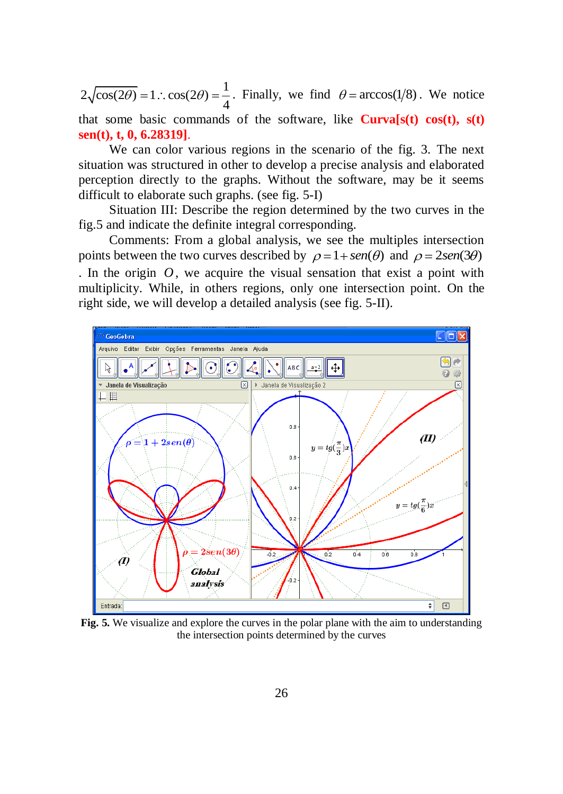$2\sqrt{\cos(2\theta)} = 1$  :  $\cos(2\theta) = \frac{1}{4}$ . Finally, we find  $\theta = \arccos(1/8)$ . We notice that some basic commands of the software, like  $Curva[s(t) \cos(t), s(t)]$ 

**sen(t), t, 0, 6.28319]**.

We can color various regions in the scenario of the fig. 3. The next situation was structured in other to develop a precise analysis and elaborated perception directly to the graphs. Without the software, may be it seems difficult to elaborate such graphs. (see fig. 5-I)

Situation III: Describe the region determined by the two curves in the fig.5 and indicate the definite integral corresponding.

Comments: From a global analysis, we see the multiples intersection points between the two curves described by  $\rho = 1 + \text{sen}(\theta)$  and  $\rho = 2\text{sen}(3\theta)$ . In the origin  $O$ , we acquire the visual sensation that exist a point with multiplicity. While, in others regions, only one intersection point. On the right side, we will develop a detailed analysis (see fig. 5-II).



**Fig. 5.** We visualize and explore the curves in the polar plane with the aim to understanding the intersection points determined by the curves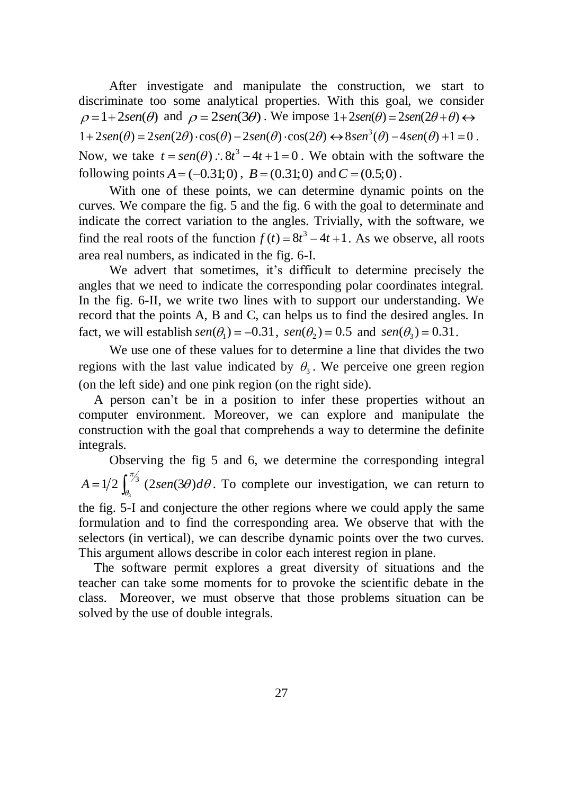After investigate and manipulate the construction, we start to discriminate too some analytical properties. With this goal, we consider  $\rho = 1 + 2\text{sen}(\theta)$  and  $\rho = 2\text{sen}(3\theta)$ . We impose  $1 + 2\text{sen}(\theta) = 2\text{sen}(2\theta + \theta) \leftrightarrow$ <br> $1 + 2\text{sen}(\theta) = 2\text{sen}(2\theta) \cdot \cos(\theta) - 2\text{sen}(\theta) \cdot \cos(2\theta) \leftrightarrow 8\text{sen}^3(\theta$ Finance too some analytical properties. With this goal, we contribute the sented of  $\theta = 2\pi i(3\theta)$ . We impose  $1 + 2\pi i(\theta) = 2\pi i(2\theta + \theta)$  $1+2\text{sen}(\theta) = 2\text{sen}(2\theta) \cdot \cos(\theta) - 2\text{sen}(\theta) \cdot \cos(2\theta) \leftrightarrow 8\text{sen}^3(\theta) - 4\text{sen}(\theta) + 1 = 0$ . Now, we take  $t = \text{sen}(\theta)$ :  $8t^3 - 4t + 1 = 0$ . We obtain with the software the following points  $A = (-0.31;0)$ ,  $B = (0.31;0)$  and  $C = (0.5;0)$ .

With one of these points, we can determine dynamic points on the curves. We compare the fig. 5 and the fig. 6 with the goal to determinate and indicate the correct variation to the angles. Trivially, with the software, we find the real roots of the function  $f(t) = 8t^3 - 4t + 1$ . As we observe, all roots area real numbers, as indicated in the fig. 6-I.

We advert that sometimes, it's difficult to determine precisely the angles that we need to indicate the corresponding polar coordinates integral. In the fig. 6-II, we write two lines with to support our understanding. We record that the points A, B and C, can helps us to find the desired angles. In fact, we will establish  $\text{sen}(\theta_1) = -0.31$ ,  $\text{sen}(\theta_2) = 0.5$  and  $\text{sen}(\theta_3) = 0.31$ .

We use one of these values for to determine a line that divides the two regions with the last value indicated by  $\theta_3$ . We perceive one green region (on the left side) and one pink region (on the right side).

A person can't be in a position to infer these properties without an computer environment. Moreover, we can explore and manipulate the construction with the goal that comprehends a way to determine the definite integrals.

Observing the fig 5 and 6, we determine the corresponding integral  $A = 1/2 \int_{\theta_3}^{\pi/2} (2sen(3\theta)d\theta)$ . To complete our investigation, we can return to the fig. 5-I and conjecture the other regions where we could apply the same formulation and to find the corresponding area. We observe that with the selectors (in vertical), we can describe dynamic points over the two curves. This argument allows describe in color each interest region in plane.

The software permit explores a great diversity of situations and the teacher can take some moments for to provoke the scientific debate in the class. Moreover, we must observe that those problems situation can be solved by the use of double integrals.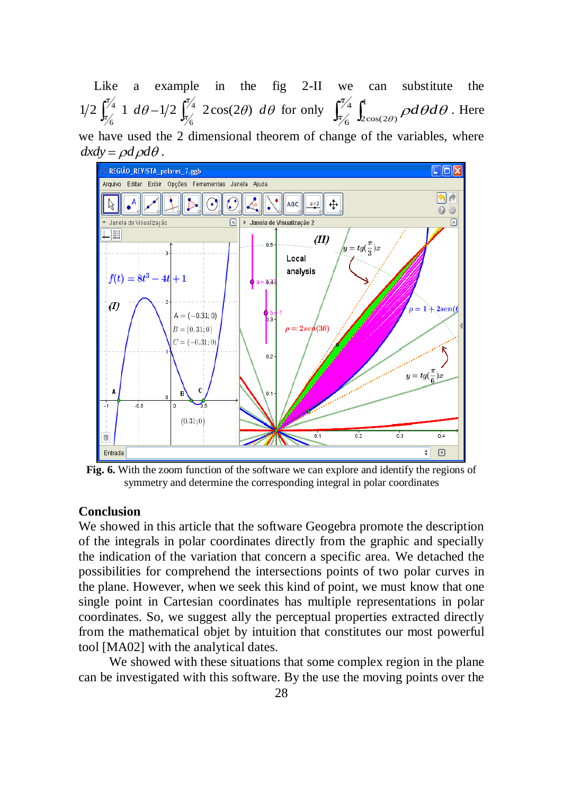Like a example in the fig 2-II we can substitute the  $\frac{7}{4}$  1 de -1/2  $\int_0^{\pi/4}$ 1/2  $\int_{\frac{\pi}{6}}^{\frac{\pi}{4}} 1 \ d\theta - 1/2 \int_{\frac{\pi}{6}}^{\frac{\pi}{4}} 2\cos(2\theta) \ d\theta$  for only  $\int_{\frac{\pi}{6}}^{\frac{\pi}{4}} \int_{2}^{1}$  $\int_{6}$   $\int_{2\cos(2\theta)}$  $d\theta d\theta$ . Here we have used the 2 dimensional theorem of change of the variables, where  $dx dy = \rho d\rho d\theta$ .



**Fig. 6.** With the zoom function of the software we can explore and identify the regions of symmetry and determine the corresponding integral in polar coordinates

### **Conclusion**

We showed in this article that the software Geogebra promote the description of the integrals in polar coordinates directly from the graphic and specially the indication of the variation that concern a specific area. We detached the possibilities for comprehend the intersections points of two polar curves in the plane. However, when we seek this kind of point, we must know that one single point in Cartesian coordinates has multiple representations in polar coordinates. So, we suggest ally the perceptual properties extracted directly from the mathematical objet by intuition that constitutes our most powerful tool [MA02] with the analytical dates.

We showed with these situations that some complex region in the plane can be investigated with this software. By the use the moving points over the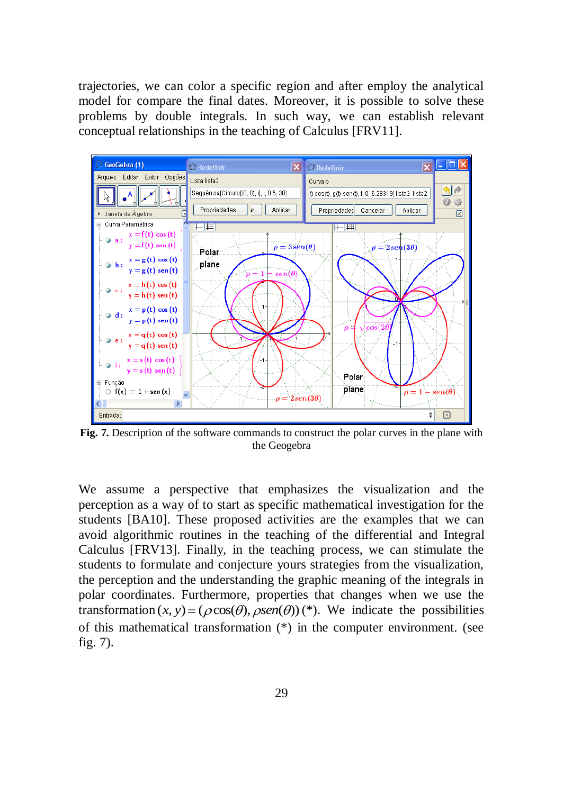trajectories, we can color a specific region and after employ the analytical model for compare the final dates. Moreover, it is possible to solve these problems by double integrals. In such way, we can establish relevant conceptual relationships in the teaching of Calculus [FRV11].



**Fig. 7.** Description of the software commands to construct the polar curves in the plane with the Geogebra

We assume a perspective that emphasizes the visualization and the perception as a way of to start as specific mathematical investigation for the students [BA10]. These proposed activities are the examples that we can avoid algorithmic routines in the teaching of the differential and Integral Calculus [FRV13]. Finally, in the teaching process, we can stimulate the students to formulate and conjecture yours strategies from the visualization, the perception and the understanding the graphic meaning of the integrals in polar coordinates. Furthermore, properties that changes when we use the polar coordinates. Furthermore, properties that changes when we use the transformation  $(x, y) = (\rho \cos(\theta), \rho \sin(\theta))$ . We indicate the possibilities of this mathematical transformation (\*) in the computer environment. (see fig. 7).